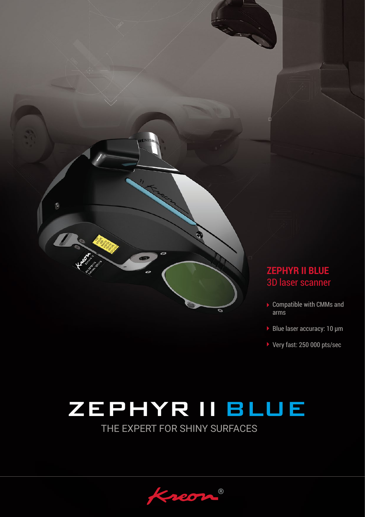

▶ Very fast: 250 000 pts/sec

# ZEPHYR II BLUE

THE EXPERT FOR SHINY SURFACES

®  $207$